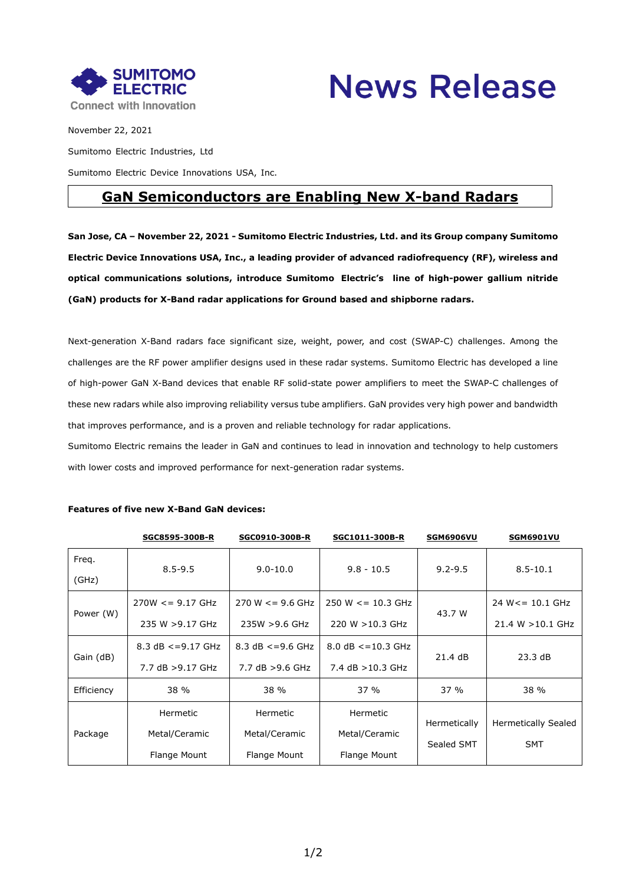



November 22, 2021 Sumitomo Electric Industries, Ltd Sumitomo Electric Device Innovations USA, Inc.

## **GaN Semiconductors are Enabling New X-band Radars**

**San Jose, CA – November 22, 2021 - Sumitomo Electric Industries, Ltd. and its Group company Sumitomo Electric Device Innovations USA, Inc., a leading provider of advanced radiofrequency (RF), wireless and optical communications solutions, introduce Sumitomo Electric's line of high-power gallium nitride (GaN) products for X-Band radar applications for Ground based and shipborne radars.**

Next-generation X-Band radars face significant size, weight, power, and cost (SWAP-C) challenges. Among the challenges are the RF power amplifier designs used in these radar systems. Sumitomo Electric has developed a line of high-power GaN X-Band devices that enable RF solid-state power amplifiers to meet the SWAP-C challenges of these new radars while also improving reliability versus tube amplifiers. GaN provides very high power and bandwidth that improves performance, and is a proven and reliable technology for radar applications.

Sumitomo Electric remains the leader in GaN and continues to lead in innovation and technology to help customers with lower costs and improved performance for next-generation radar systems.

|            | SGC8595-300B-R        | SGC0910-300B-R       | SGC1011-300B-R        | <b>SGM6906VU</b> | <b>SGM6901VU</b>           |
|------------|-----------------------|----------------------|-----------------------|------------------|----------------------------|
| Freq.      | $8.5 - 9.5$           | $9.0 - 10.0$         | $9.8 - 10.5$          | $9.2 - 9.5$      | $8.5 - 10.1$               |
| (GHz)      |                       |                      |                       |                  |                            |
| Power (W)  | $270W \le 9.17$ GHz   | $270 W \le 9.6 GHz$  | $250 W \le 10.3 GHz$  | 43.7 W           | 24 W <= 10.1 GHz           |
|            | 235 W > 9.17 GHz      | 235W >9.6 GHz        | 220 W > 10.3 GHz      |                  | 21.4 W > 10.1 GHz          |
| Gain (dB)  | 8.3 $dB \le 9.17$ GHz | 8.3 $dB \le 9.6$ GHz | 8.0 $dB \le 10.3$ GHz | 21.4 dB          | 23.3 dB                    |
|            | 7.7 dB > 9.17 GHz     | 7.7 $dB > 9.6$ GHz   | 7.4 $dB > 10.3$ GHz   |                  |                            |
| Efficiency | 38 %                  | 38 %                 | 37%                   | 37%              | 38 %                       |
| Package    | Hermetic              | Hermetic             | Hermetic              | Hermetically     |                            |
|            | Metal/Ceramic         | Metal/Ceramic        | Metal/Ceramic         |                  | <b>Hermetically Sealed</b> |
|            | Flange Mount          | Flange Mount         | Flange Mount          | Sealed SMT       | <b>SMT</b>                 |

## **Features of five new X-Band GaN devices:**